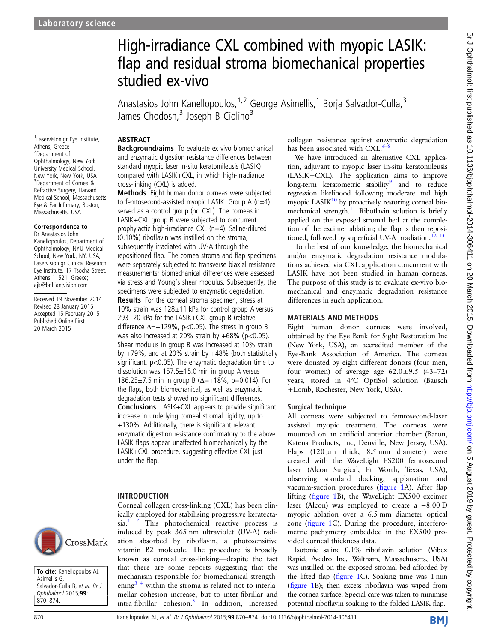1 Laservision.gr Eye Institute,

Athens, Greece 2 Department of Ophthalmology, New York University Medical School, New York, New York, USA 3 Department of Cornea & Refractive Surgery, Harvard Medical School, Massachusetts Eye & Ear Infirmary, Boston, Massachusetts, USA Correspondence to Dr Anastasios John Kanellopoulos, Department of Ophthalmology, NYU Medical School, New York, NY, USA; Laservision.gr Clinical Research Eye Institute, 17 Tsocha Street, Athens 11521, Greece; ajk@brilliantvision.com Received 19 November 2014 Revised 28 January 2015 Accepted 15 February 2015 Published Online First 20 March 2015

# High-irradiance CXL combined with myopic LASIK: flap and residual stroma biomechanical properties studied ex-vivo

Anastasios John Kanellopoulos,  $1,2$  George Asimellis,  $1$  Borja Salvador-Culla,  $3$ James Chodosh,<sup>3</sup> Joseph B Ciolino<sup>3</sup>

# ABSTRACT

Background/aims To evaluate ex vivo biomechanical and enzymatic digestion resistance differences between standard myopic laser in-situ keratomileusis (LASIK) compared with LASIK+CXL, in which high-irradiance cross-linking (CXL) is added.

Methods Eight human donor corneas were subjected to femtosecond-assisted myopic LASIK. Group A (n=4) served as a control group (no CXL). The corneas in LASIK+CXL group B were subjected to concurrent prophylactic high-irradiance CXL (n=4). Saline-diluted (0.10%) riboflavin was instilled on the stroma, subsequently irradiated with UV-A through the repositioned flap. The cornea stroma and flap specimens were separately subjected to transverse biaxial resistance measurements; biomechanical differences were assessed via stress and Young's shear modulus. Subsequently, the specimens were subjected to enzymatic degradation.

Results For the corneal stroma specimen, stress at 10% strain was 128±11 kPa for control group A versus 293±20 kPa for the LASIK+CXL group B (relative difference  $\Delta = +129\%$ , p<0.05). The stress in group B was also increased at 20% strain by  $+68%$  (p<0.05). Shear modulus in group B was increased at 10% strain by  $+79%$ , and at 20% strain by  $+48%$  (both statistically significant, p<0.05). The enzymatic degradation time to dissolution was  $157.5 \pm 15.0$  min in group A versus 186.25±7.5 min in group B ( $\Delta$ =+18%, p=0.014). For the flaps, both biomechanical, as well as enzymatic degradation tests showed no significant differences. **Conclusions** LASIK+CXL appears to provide significant increase in underlying corneal stromal rigidity, up to +130%. Additionally, there is significant relevant enzymatic digestion resistance confirmatory to the above. LASIK flaps appear unaffected biomechanically by the LASIK+CXL procedure, suggesting effective CXL just under the flap.

### INTRODUCTION

Corneal collagen cross-linking (CXL) has been clinically employed for stabilising progressive keratecta $sia.<sup>1</sup>$  <sup>2</sup> This photochemical reactive process is induced by peak 365 nm ultraviolet (UV-A) radiation absorbed by riboflavin, a photosensitive vitamin B2 molecule. The procedure is broadly known as corneal cross-linking—despite the fact that there are some reports suggesting that the mechanism responsible for biomechanical strengthening<sup>3</sup> <sup>4</sup> within the stroma is related not to interlamellar cohesion increase, but to inter-fibrillar and  $intra-fibrillar$  cohesion.<sup>[5](#page-4-0)</sup> In addition, increased

collagen resistance against enzymatic degradation has been associated with  $\text{CXL.}$ <sup>6–8</sup>

We have introduced an alternative CXL application, adjuvant to myopic laser in-situ keratomileusis (LASIK+CXL). The application aims to improve long-term keratometric stability<sup>[9](#page-4-0)</sup> and to reduce regression likelihood following moderate and high myopic LASI $K^{10}$  by proactively restoring corneal biomechanical strength.<sup>11</sup> Riboflavin solution is briefly applied on the exposed stromal bed at the completion of the excimer ablation; the flap is then repositioned, followed by superficial UV-A irradiation.<sup>12</sup> <sup>13</sup>

To the best of our knowledge, the biomechanical and/or enzymatic degradation resistance modulations achieved via CXL application concurrent with LASIK have not been studied in human corneas. The purpose of this study is to evaluate ex-vivo biomechanical and enzymatic degradation resistance differences in such application.

## MATERIALS AND METHODS

Eight human donor corneas were involved, obtained by the Eye Bank for Sight Restoration Inc (New York, USA), an accredited member of the Eye-Bank Association of America. The corneas were donated by eight different donors (four men, four women) of average age  $62.0\pm9.5$  (43–72) years, stored in 4°C OptiSol solution (Bausch +Lomb, Rochester, New York, USA).

# Surgical technique

All corneas were subjected to femtosecond-laser assisted myopic treatment. The corneas were mounted on an artificial anterior chamber (Baron, Katena Products, Inc, Denville, New Jersey, USA). Flaps (120 μm thick, 8.5 mm diameter) were created with the WaveLight FS200 femtosecond laser (Alcon Surgical, Ft Worth, Texas, USA), observing standard docking, applanation and vacuum-suction procedures (fi[gure 1A](#page-1-0)). After flap lifting (fi[gure 1B](#page-1-0)), the WaveLight EX500 excimer laser (Alcon) was employed to create a −8.00 D myopic ablation over a 6.5 mm diameter optical zone (fi[gure 1C](#page-1-0)). During the procedure, interferometric pachymetry embedded in the EX500 provided corneal thickness data.

Isotonic saline 0.1% riboflavin solution (Vibex Rapid, Avedro Inc, Waltham, Massachusetts, USA) was instilled on the exposed stromal bed afforded by the lifted flap (fi[gure 1](#page-1-0)C). Soaking time was 1 min (fi[gure 1E](#page-1-0)); then excess riboflavin was wiped from the cornea surface. Special care was taken to minimise potential riboflavin soaking to the folded LASIK flap.



To cite: Kanellopoulos AJ, Asimellis G, Salvador-Culla B, et al. Br J Ophthalmol 2015;99: 870–874.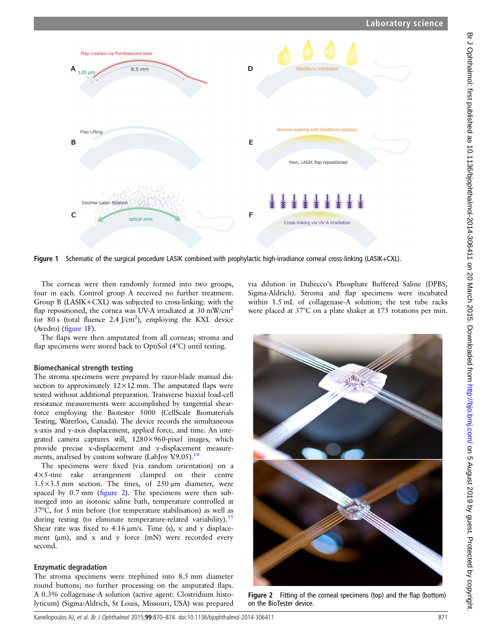<span id="page-1-0"></span>

Figure 1 Schematic of the surgical procedure LASIK combined with prophylactic high-irradiance corneal cross-linking (LASIK+CXL).

The corneas were then randomly formed into two groups, four in each. Control group A received no further treatment. Group B (LASIK+CXL) was subjected to cross-linking: with the flap repositioned, the cornea was UV-A irradiated at 30 mW/cm<sup>2</sup> for 80 s (total fluence  $2.4$  J/cm<sup>2</sup>), employing the KXL device (Avedro) (figure 1F).

The flaps were then amputated from all corneas; stroma and flap specimens were stored back to OptiSol (4°C) until testing.

# Biomechanical strength testing

The stroma specimens were prepared by razor-blade manual dissection to approximately  $12 \times 12$  mm. The amputated flaps were tested without additional preparation. Transverse biaxial load-cell resistance measurements were accomplished by tangential shearforce employing the Biotester 5000 (CellScale Biomaterials Testing, Waterloo, Canada). The device records the simultaneous x-axis and y-axis displacement, applied force, and time. An integrated camera captures still, 1280×960-pixel images, which provide precise x-displacement and y-displacement measure-ments, analysed by custom software (LabJoy V.9.05).<sup>[14](#page-4-0)</sup>

The specimens were fixed (via random orientation) on a 4×5-tine rake arrangement clamped on their centre  $3.5 \times 3.5$  mm section. The tines, of  $250 \,\mu m$  diameter, were spaced by 0.7 mm (figure 2). The specimens were then submerged into an isotonic saline bath, temperature controlled at 37°C, for 5 min before (for temperature stabilisation) as well as during testing (to eliminate temperature-related variability).<sup>[15](#page-4-0)</sup> Shear rate was fixed to 4.16 μm/s. Time (s), x and y displacement (μm), and x and y force (mN) were recorded every second.

# Enzymatic degradation

The stroma specimens were trephined into 8.5 mm diameter round buttons; no further processing on the amputated flaps. A 0.3% collagenase-A solution (active agent: Clostridium histolyticum) (Sigma-Aldrich, St Louis, Missouri, USA) was prepared via dilution in Dubecco's Phosphate Buffered Saline (DPBS, Sigma-Aldrich). Stroma and flap specimens were incubated within 1.5 mL of collagenase-A solution; the test tube racks were placed at 37°C on a plate shaker at 175 rotations per min.



Figure 2 Fitting of the corneal specimens (top) and the flap (bottom) on the BioTester device.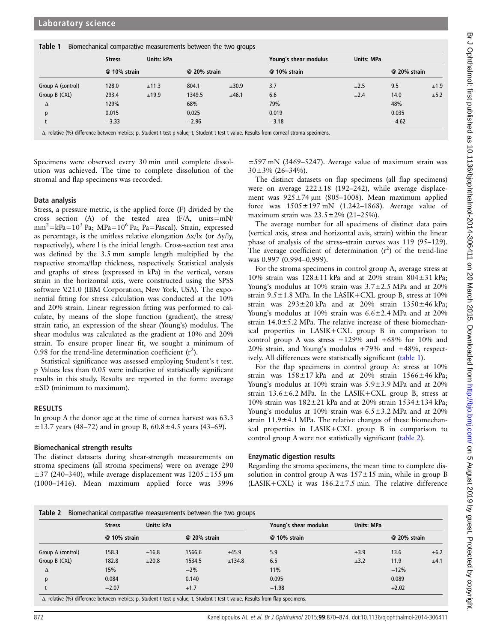|  |  | Table 1 Biomechanical comparative measurements between the two groups |  |
|--|--|-----------------------------------------------------------------------|--|
|--|--|-----------------------------------------------------------------------|--|

|                   | <b>Stress</b> | Units: kPa |              |       | Young's shear modulus | <b>Units: MPa</b> |              |      |
|-------------------|---------------|------------|--------------|-------|-----------------------|-------------------|--------------|------|
|                   | @ 10% strain  |            | @ 20% strain |       | @ 10% strain          |                   | @ 20% strain |      |
| Group A (control) | 128.0         | ±11.3      | 804.1        | ±30.9 | 3.7                   | ±2.5              | 9.5          | ±1.9 |
| Group B (CXL)     | 293.4         | ±19.9      | 1349.5       | ±46.1 | 6.6                   | ±2.4              | 14.0         | ±5.2 |
| Δ                 | 129%          |            | 68%          |       | 79%                   |                   | 48%          |      |
| Ŋ                 | 0.015         |            | 0.025        |       | 0.019                 |                   | 0.035        |      |
|                   | $-3.33$       |            | $-2.96$      |       | $-3.18$               |                   | $-4.62$      |      |

Δ, relative (%) difference between metrics; p, Student t test p value; t, Student t test t value. Results from corneal stroma specimens.

Specimens were observed every 30 min until complete dissolution was achieved. The time to complete dissolution of the stromal and flap specimens was recorded.

#### Data analysis

Stress, a pressure metric, is the applied force (F) divided by the cross section (A) of the tested area (F/A, units=mN/ mm<sup>2</sup>=kPa=10<sup>3</sup> Pa; MPa=10<sup>6</sup> Pa; Pa=Pascal). Strain, expressed as percentage, is the unitless relative elongation  $\Delta x / \Delta x$  (or  $\Delta y / \Delta y$ , respectively), where l is the initial length. Cross-section test area was defined by the 3.5 mm sample length multiplied by the respective stroma/flap thickness, respectively. Statistical analysis and graphs of stress (expressed in kPa) in the vertical, versus strain in the horizontal axis, were constructed using the SPSS software V.21.0 (IBM Corporation, New York, USA). The exponential fitting for stress calculation was conducted at the 10% and 20% strain. Linear regression fitting was performed to calculate, by means of the slope function (gradient), the stress/ strain ratio, an expression of the shear (Young's) modulus. The shear modulus was calculated as the gradient at 10% and 20% strain. To ensure proper linear fit, we sought a minimum of 0.98 for the trend-line determination coefficient  $(r^2)$ .

Statistical significance was assessed employing Student's t test. p Values less than 0.05 were indicative of statistically significant results in this study. Results are reported in the form: average  $\pm$ SD (minimum to maximum).

### RESULTS

In group A the donor age at the time of cornea harvest was 63.3  $\pm$ 13.7 years (48–72) and in group B, 60.8 $\pm$ 4.5 years (43–69).

#### Biomechanical strength results

The distinct datasets during shear-strength measurements on stroma specimens (all stroma specimens) were on average 290  $\pm$ 37 (240–340), while average displacement was  $1205\pm155$  µm (1000–1416). Mean maximum applied force was 3996

±597 mN (3469–5247). Average value of maximum strain was  $30\pm3\%$  (26–34%).

The distinct datasets on flap specimens (all flap specimens) were on average  $222 \pm 18$  (192–242), while average displacement was  $925 \pm 74$  μm (805–1008). Mean maximum applied force was  $1505 \pm 197$  mN (1.242–1868). Average value of maximum strain was  $23.5 \pm 2\%$  (21–25%).

The average number for all specimens of distinct data pairs (vertical axis, stress and horizontal axis, strain) within the linear phase of analysis of the stress–strain curves was 119 (95–129). The average coefficient of determination  $(r^2)$  of the trend-line was 0.997 (0.994–0.999).

For the stroma specimens in control group A, average stress at 10% strain was  $128 \pm 11$  kPa and at 20% strain  $804 \pm 31$  kPa; Young's modulus at 10% strain was 3.7±2.5 MPa and at 20% strain  $9.5 \pm 1.8$  MPa. In the LASIK+CXL group B, stress at 10% strain was  $293\pm20$  kPa and at  $20\%$  strain  $1350\pm46$  kPa; Young's modulus at 10% strain was 6.6±2.4 MPa and at 20% strain 14.0±5.2 MPa. The relative increase of these biomechanical properties in LASIK+CXL group B in comparison to control group A was stress  $+129\%$  and  $+68\%$  for 10% and 20% strain, and Young's modulus +79% and +48%, respectively. All differences were statistically significant (table 1).

For the flap specimens in control group A: stress at 10% strain was  $158 \pm 17$  kPa and at  $20\%$  strain  $1566 \pm 46$  kPa; Young's modulus at 10% strain was 5.9±3.9 MPa and at 20% strain  $13.6 \pm 6.2$  MPa. In the LASIK+CXL group B, stress at 10% strain was  $182 \pm 21$  kPa and at 20% strain  $1534 \pm 134$  kPa; Young's modulus at  $10\%$  strain was  $6.5 \pm 3.2$  MPa and at  $20\%$ strain 11.9±4.1 MPa. The relative changes of these biomechanical properties in LASIK+CXL group B in comparison to control group A were not statistically significant (table 2).

### Enzymatic digestion results

Regarding the stroma specimens, the mean time to complete dissolution in control group A was  $157 \pm 15$  min, while in group B (LASIK+CXL) it was  $186.2 \pm 7.5$  min. The relative difference

Table 2 Biomechanical comparative measurements between the two groups

|                   | <b>Stress</b> | Units: kPa |              |        | Young's shear modulus | <b>Units: MPa</b> |              |      |
|-------------------|---------------|------------|--------------|--------|-----------------------|-------------------|--------------|------|
|                   | @ 10% strain  |            | @ 20% strain |        | @ 10% strain          |                   | @ 20% strain |      |
| Group A (control) | 158.3         | ±16.8      | 1566.6       | ±45.9  | 5.9                   | ±3.9              | 13.6         | ±6.2 |
| Group B (CXL)     | 182.8         | ±20.8      | 1534.5       | ±134.8 | 6.5                   | ±3.2              | 11.9         | ±4.1 |
| Δ                 | 15%           |            | $-2%$        |        | 11%                   |                   | $-12%$       |      |
| D                 | 0.084         |            | 0.140        |        | 0.095                 |                   | 0.089        |      |
|                   | $-2.07$       |            | $+1.7$       |        | $-1.98$               |                   | $+2.02$      |      |

ιetween metrics; p, Student t test p value; t, Student t test t value. Results from flap specimens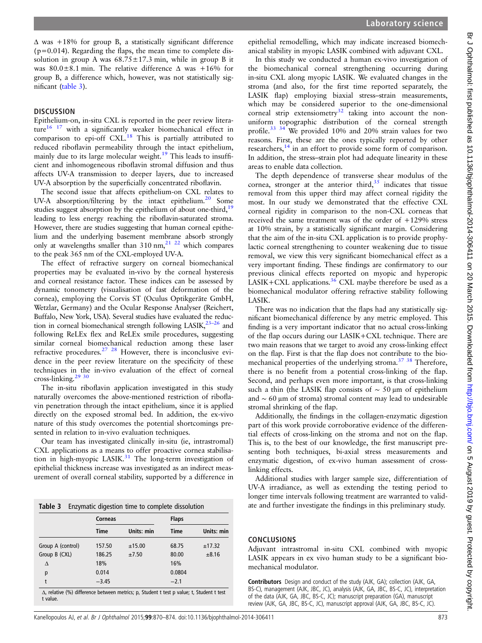$\Delta$  was +18% for group B, a statistically significant difference  $(p=0.014)$ . Regarding the flaps, the mean time to complete dissolution in group A was  $68.75 \pm 17.3$  min, while in group B it was  $80.0\pm8.1$  min. The relative difference  $\Delta$  was  $+16\%$  for group B, a difference which, however, was not statistically significant (table 3).

#### **DISCUSSION**

Epithelium-on, in-situ CXL is reported in the peer review literature $16 \t17$  with a significantly weaker biomechanical effect in comparison to epi-off  $CXL$ .<sup>18</sup> This is partially attributed to reduced riboflavin permeability through the intact epithelium, mainly due to its large molecular weight.<sup>[19](#page-4-0)</sup> This leads to insufficient and inhomogeneous riboflavin stromal diffusion and thus affects UV-A transmission to deeper layers, due to increased UV-A absorption by the superficially concentrated riboflavin.

The second issue that affects epithelium-on CXL relates to UV-A absorption/filtering by the intact epithelium.<sup>20</sup> Some studies suggest absorption by the epithelium of about one-third,<sup>19</sup> leading to less energy reaching the riboflavin-saturated stroma. However, there are studies suggesting that human corneal epithelium and the underlying basement membrane absorb strongly only at wavelengths smaller than  $310 \text{ nm}$ ,  $21 \text{ } 22$  which compares to the peak 365 nm of the CXL-employed UV-A.

The effect of refractive surgery on corneal biomechanical properties may be evaluated in-vivo by the corneal hysteresis and corneal resistance factor. These indices can be assessed by dynamic tonometry (visualisation of fast deformation of the cornea), employing the Corvis ST (Oculus Optikgeräte GmbH, Wetzlar, Germany) and the Ocular Response Analyser (Reichert, Buffalo, New York, USA). Several studies have evaluated the reduction in corneal biomechanical strength following LASIK, $^{23-26}$  and following ReLEx flex and ReLEx smile procedures, suggesting similar corneal biomechanical reduction among these laser refractive procedures. $27 \frac{28}{10}$  However, there is inconclusive evidence in the peer review literature on the specificity of these techniques in the in-vivo evaluation of the effect of corneal cross-linking.[29 30](#page-4-0)

The in-situ riboflavin application investigated in this study naturally overcomes the above-mentioned restriction of riboflavin penetration through the intact epithelium, since it is applied directly on the exposed stromal bed. In addition, the ex-vivo nature of this study overcomes the potential shortcomings presented in relation to in-vivo evaluation techniques.

Our team has investigated clinically in-situ (ie, intrastromal) CXL applications as a means to offer proactive cornea stabilisation in high-myopic LASIK. $31$  The long-term investigation of epithelial thickness increase was investigated as an indirect measurement of overall corneal stability, supported by a difference in

|  | <b>Table 3</b> Enzymatic digestion time to complete dissolution |  |  |  |  |  |
|--|-----------------------------------------------------------------|--|--|--|--|--|
|--|-----------------------------------------------------------------|--|--|--|--|--|

|                                                                                                              | Corneas     |            | <b>Flaps</b> |            |  |  |  |
|--------------------------------------------------------------------------------------------------------------|-------------|------------|--------------|------------|--|--|--|
|                                                                                                              | <b>Time</b> | Units: min | <b>Time</b>  | Units: min |  |  |  |
| Group A (control)                                                                                            | 157.50      | ±15.00     | 68.75        | ±17.32     |  |  |  |
| Group B (CXL)                                                                                                | 186.25      | ±7.50      | 80.00        | ±8.16      |  |  |  |
| Δ                                                                                                            | 18%         |            | 16%          |            |  |  |  |
| p                                                                                                            | 0.014       |            | 0.0804       |            |  |  |  |
| t                                                                                                            | $-3.45$     |            | $-2.1$       |            |  |  |  |
| $\Delta$ , relative (%) difference between metrics; p, Student t test p value; t, Student t test<br>t value. |             |            |              |            |  |  |  |

epithelial remodelling, which may indicate increased biomechanical stability in myopic LASIK combined with adjuvant CXL.

In this study we conducted a human ex-vivo investigation of the biomechanical corneal strengthening occurring during in-situ CXL along myopic LASIK. We evaluated changes in the stroma (and also, for the first time reported separately, the LASIK flap) employing biaxial stress–strain measurements, which may be considered superior to the one-dimensional corneal strip extensiometry $32$  taking into account the nonuniform topographic distribution of the corneal strength profile.[33 34](#page-4-0) We provided 10% and 20% strain values for two reasons. First, these are the ones typically reported by other researchers,<sup>[14](#page-4-0)</sup> in an effort to provide some form of comparison. In addition, the stress–strain plot had adequate linearity in these areas to enable data collection.

The depth dependence of transverse shear modulus of the cornea, stronger at the anterior third, $35$  indicates that tissue removal from this upper third may affect corneal rigidity the most. In our study we demonstrated that the effective CXL corneal rigidity in comparison to the non-CXL corneas that received the same treatment was of the order of +129% stress at 10% strain, by a statistically significant margin. Considering that the aim of the in-situ CXL application is to provide prophylactic corneal strengthening to counter weakening due to tissue removal, we view this very significant biomechanical effect as a very important finding. These findings are confirmatory to our previous clinical effects reported on myopic and hyperopic LASIK+CXL applications.<sup>[36](#page-4-0)</sup> CXL maybe therefore be used as a biomechanical modulator offering refractive stability following LASIK.

There was no indication that the flaps had any statistically significant biomechanical difference by any metric employed. This finding is a very important indicator that no actual cross-linking of the flap occurs during our LASIK+CXL technique. There are two main reasons that we target to avoid any cross-linking effect on the flap. First is that the flap does not contribute to the biomechanical properties of the underlying stroma.<sup>37</sup> <sup>38</sup> Therefore, there is no benefit from a potential cross-linking of the flap. Second, and perhaps even more important, is that cross-linking such a thin (the LASIK flap consists of  $\sim$  50 µm of epithelium and ∼ 60 μm of stroma) stromal content may lead to undesirable stromal shrinking of the flap.

Additionally, the findings in the collagen-enzymatic digestion part of this work provide corroborative evidence of the differential effects of cross-linking on the stroma and not on the flap. This is, to the best of our knowledge, the first manuscript presenting both techniques, bi-axial stress measurements and enzymatic digestion, of ex-vivo human assessment of crosslinking effects.

Additional studies with larger sample size, differentiation of UV-A irradiance, as well as extending the testing period to longer time intervals following treatment are warranted to validate and further investigate the findings in this preliminary study.

#### CONCLUSIONS

Adjuvant intrastromal in-situ CXL combined with myopic LASIK appears in ex vivo human study to be a significant biomechanical modulator.

Contributors Design and conduct of the study (AJK, GA); collection (AJK, GA, BS-C), management (AJK, JBC, JC), analysis (AJK, GA, JBC, BS-C, JC), interpretation of the data (AJK, GA, JBC, BS-C, JC); manuscript preparation (GA), manuscript review (AJK, GA, JBC, BS-C, JC), manuscript approval (AJK, GA, JBC, BS-C, JC).